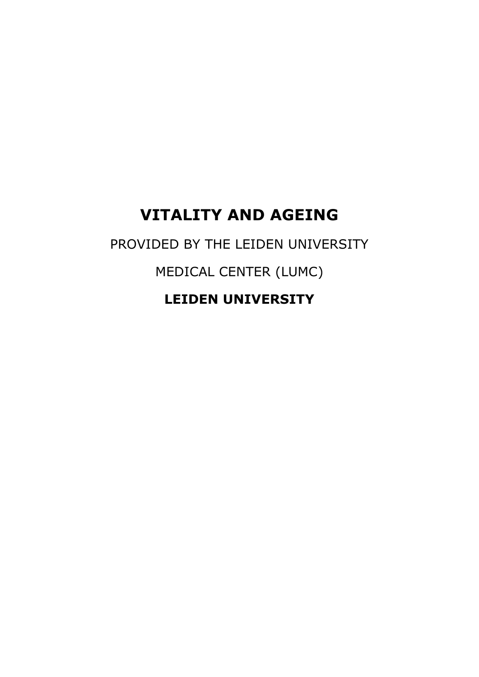# **VITALITY AND AGEING**

# PROVIDED BY THE LEIDEN UNIVERSITY MEDICAL CENTER (LUMC) **LEIDEN UNIVERSITY**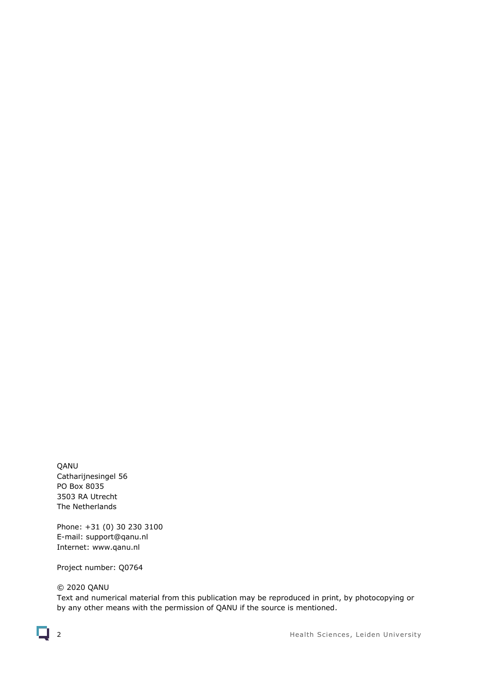QANU Catharijnesingel 56 PO Box 8035 3503 RA Utrecht The Netherlands

Phone: +31 (0) 30 230 3100 E-mail: support@qanu.nl Internet: www.qanu.nl

Project number: Q0764

### © 2020 QANU

Text and numerical material from this publication may be reproduced in print, by photocopying or by any other means with the permission of QANU if the source is mentioned.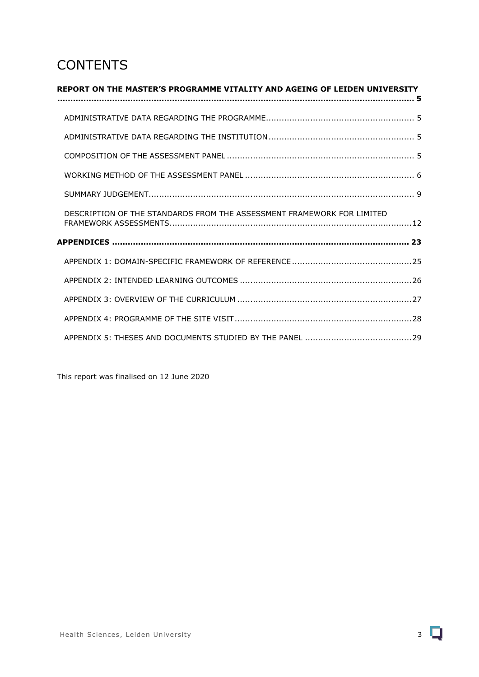# **CONTENTS**

| REPORT ON THE MASTER'S PROGRAMME VITALITY AND AGEING OF LEIDEN UNIVERSITY |
|---------------------------------------------------------------------------|
|                                                                           |
|                                                                           |
|                                                                           |
|                                                                           |
|                                                                           |
| DESCRIPTION OF THE STANDARDS FROM THE ASSESSMENT FRAMEWORK FOR LIMITED    |
|                                                                           |
|                                                                           |
|                                                                           |
|                                                                           |
|                                                                           |
|                                                                           |

This report was finalised on 12 June 2020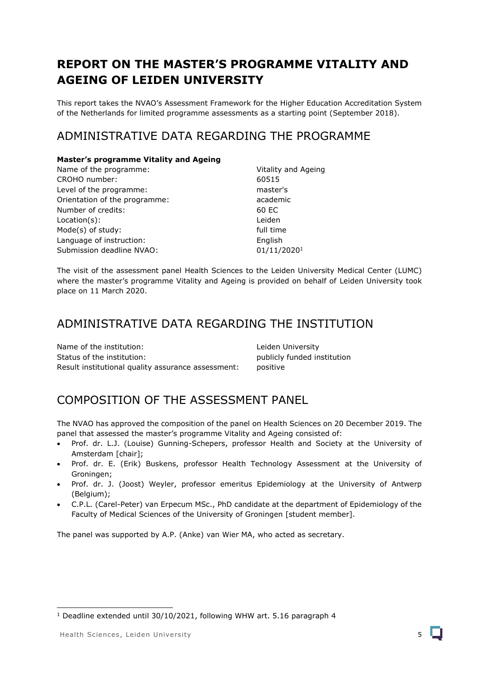# <span id="page-4-0"></span>**REPORT ON THE MASTER'S PROGRAMME VITALITY AND AGEING OF LEIDEN UNIVERSITY**

This report takes the NVAO's Assessment Framework for the Higher Education Accreditation System of the Netherlands for limited programme assessments as a starting point (September 2018).

# <span id="page-4-1"></span>ADMINISTRATIVE DATA REGARDING THE PROGRAMME

# **Master's programme Vitality and Ageing**

| Vitality and Ageing     |
|-------------------------|
| 60515                   |
| master's                |
| academic                |
| 60 EC                   |
| Leiden                  |
| full time               |
| English                 |
| 01/11/2020 <sup>1</sup> |
|                         |

The visit of the assessment panel Health Sciences to the Leiden University Medical Center (LUMC) where the master's programme Vitality and Ageing is provided on behalf of Leiden University took place on 11 March 2020.

# <span id="page-4-2"></span>ADMINISTRATIVE DATA REGARDING THE INSTITUTION

Name of the institution: Name of the institution: Status of the institution: example in the institution in the status of the institution of the institution of the institution of the institution of the institution of the institution of the institution of the institution of Result institutional quality assurance assessment: positive

# <span id="page-4-3"></span>COMPOSITION OF THE ASSESSMENT PANEL

The NVAO has approved the composition of the panel on Health Sciences on 20 December 2019. The panel that assessed the master's programme Vitality and Ageing consisted of:

- Prof. dr. L.J. (Louise) Gunning-Schepers, professor Health and Society at the University of Amsterdam [chair];
- Prof. dr. E. (Erik) Buskens, professor Health Technology Assessment at the University of Groningen;
- Prof. dr. J. (Joost) Weyler, professor emeritus Epidemiology at the University of Antwerp (Belgium);
- C.P.L. (Carel-Peter) van Erpecum MSc., PhD candidate at the department of Epidemiology of the Faculty of Medical Sciences of the University of Groningen [student member].

<span id="page-4-4"></span>The panel was supported by A.P. (Anke) van Wier MA, who acted as secretary.

<sup>-</sup><sup>1</sup> Deadline extended until 30/10/2021, following WHW art. 5.16 paragraph 4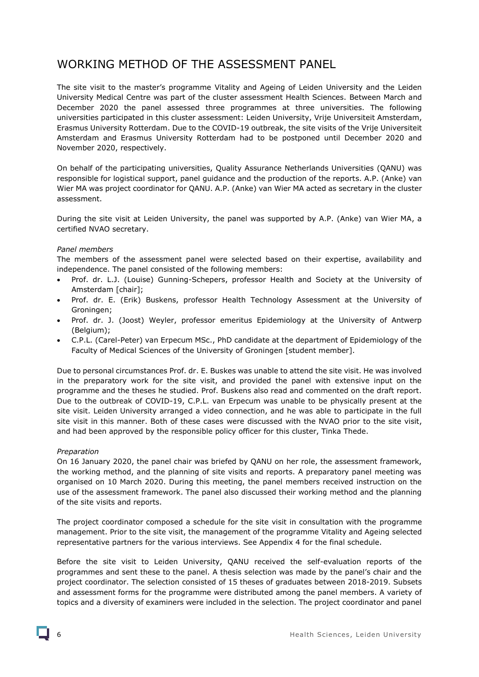# WORKING METHOD OF THE ASSESSMENT PANEL

The site visit to the master's programme Vitality and Ageing of Leiden University and the Leiden University Medical Centre was part of the cluster assessment Health Sciences. Between March and December 2020 the panel assessed three programmes at three universities. The following universities participated in this cluster assessment: Leiden University, Vrije Universiteit Amsterdam, Erasmus University Rotterdam. Due to the COVID-19 outbreak, the site visits of the Vrije Universiteit Amsterdam and Erasmus University Rotterdam had to be postponed until December 2020 and November 2020, respectively.

On behalf of the participating universities, Quality Assurance Netherlands Universities (QANU) was responsible for logistical support, panel guidance and the production of the reports. A.P. (Anke) van Wier MA was project coordinator for QANU. A.P. (Anke) van Wier MA acted as secretary in the cluster assessment.

During the site visit at Leiden University, the panel was supported by A.P. (Anke) van Wier MA, a certified NVAO secretary.

# *Panel members*

The members of the assessment panel were selected based on their expertise, availability and independence. The panel consisted of the following members:

- Prof. dr. L.J. (Louise) Gunning-Schepers, professor Health and Society at the University of Amsterdam [chair];
- Prof. dr. E. (Erik) Buskens, professor Health Technology Assessment at the University of Groningen;
- Prof. dr. J. (Joost) Weyler, professor emeritus Epidemiology at the University of Antwerp (Belgium);
- C.P.L. (Carel-Peter) van Erpecum MSc., PhD candidate at the department of Epidemiology of the Faculty of Medical Sciences of the University of Groningen [student member].

Due to personal circumstances Prof. dr. E. Buskes was unable to attend the site visit. He was involved in the preparatory work for the site visit, and provided the panel with extensive input on the programme and the theses he studied. Prof. Buskens also read and commented on the draft report. Due to the outbreak of COVID-19, C.P.L. van Erpecum was unable to be physically present at the site visit. Leiden University arranged a video connection, and he was able to participate in the full site visit in this manner. Both of these cases were discussed with the NVAO prior to the site visit, and had been approved by the responsible policy officer for this cluster, Tinka Thede.

### *Preparation*

On 16 January 2020, the panel chair was briefed by QANU on her role, the assessment framework, the working method, and the planning of site visits and reports. A preparatory panel meeting was organised on 10 March 2020. During this meeting, the panel members received instruction on the use of the assessment framework. The panel also discussed their working method and the planning of the site visits and reports.

The project coordinator composed a schedule for the site visit in consultation with the programme management. Prior to the site visit, the management of the programme Vitality and Ageing selected representative partners for the various interviews. See Appendix 4 for the final schedule.

Before the site visit to Leiden University, QANU received the self-evaluation reports of the programmes and sent these to the panel. A thesis selection was made by the panel's chair and the project coordinator. The selection consisted of 15 theses of graduates between 2018-2019. Subsets and assessment forms for the programme were distributed among the panel members. A variety of topics and a diversity of examiners were included in the selection. The project coordinator and panel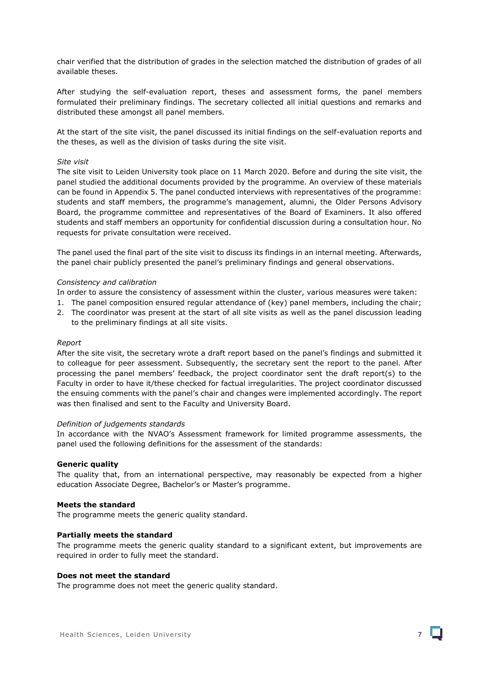chair verified that the distribution of grades in the selection matched the distribution of grades of all available theses.

After studying the self-evaluation report, theses and assessment forms, the panel members formulated their preliminary findings. The secretary collected all initial questions and remarks and distributed these amongst all panel members.

At the start of the site visit, the panel discussed its initial findings on the self-evaluation reports and the theses, as well as the division of tasks during the site visit.

#### *Site visit*

The site visit to Leiden University took place on 11 March 2020. Before and during the site visit, the panel studied the additional documents provided by the programme. An overview of these materials can be found in Appendix 5. The panel conducted interviews with representatives of the programme: students and staff members, the programme's management, alumni, the Older Persons Advisory Board, the programme committee and representatives of the Board of Examiners. It also offered students and staff members an opportunity for confidential discussion during a consultation hour. No requests for private consultation were received.

The panel used the final part of the site visit to discuss its findings in an internal meeting. Afterwards, the panel chair publicly presented the panel's preliminary findings and general observations.

#### *Consistency and calibration*

In order to assure the consistency of assessment within the cluster, various measures were taken:

- 1. The panel composition ensured regular attendance of (key) panel members, including the chair;
- 2. The coordinator was present at the start of all site visits as well as the panel discussion leading to the preliminary findings at all site visits.

#### *Report*

After the site visit, the secretary wrote a draft report based on the panel's findings and submitted it to colleague for peer assessment. Subsequently, the secretary sent the report to the panel. After processing the panel members' feedback, the project coordinator sent the draft report(s) to the Faculty in order to have it/these checked for factual irregularities. The project coordinator discussed the ensuing comments with the panel's chair and changes were implemented accordingly. The report was then finalised and sent to the Faculty and University Board.

### *Definition of judgements standards*

In accordance with the NVAO's Assessment framework for limited programme assessments, the panel used the following definitions for the assessment of the standards:

### **Generic quality**

The quality that, from an international perspective, may reasonably be expected from a higher education Associate Degree, Bachelor's or Master's programme.

#### **Meets the standard**

The programme meets the generic quality standard.

#### **Partially meets the standard**

The programme meets the generic quality standard to a significant extent, but improvements are required in order to fully meet the standard.

#### **Does not meet the standard**

The programme does not meet the generic quality standard.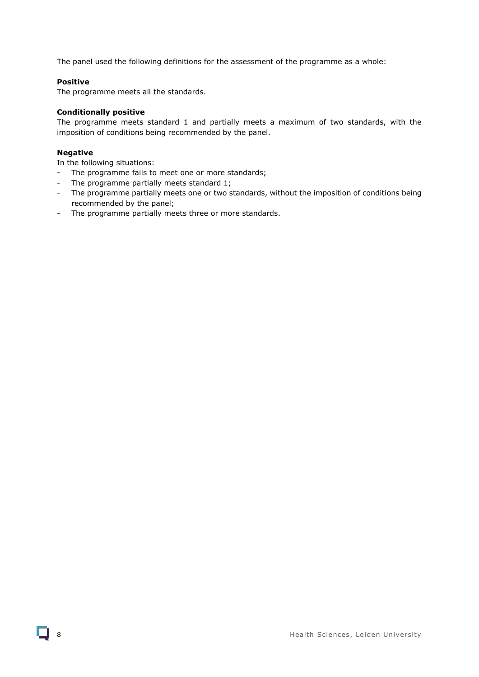The panel used the following definitions for the assessment of the programme as a whole:

# **Positive**

The programme meets all the standards.

# **Conditionally positive**

The programme meets standard 1 and partially meets a maximum of two standards, with the imposition of conditions being recommended by the panel.

# **Negative**

In the following situations:

- The programme fails to meet one or more standards;
- The programme partially meets standard 1;
- The programme partially meets one or two standards, without the imposition of conditions being recommended by the panel;
- The programme partially meets three or more standards.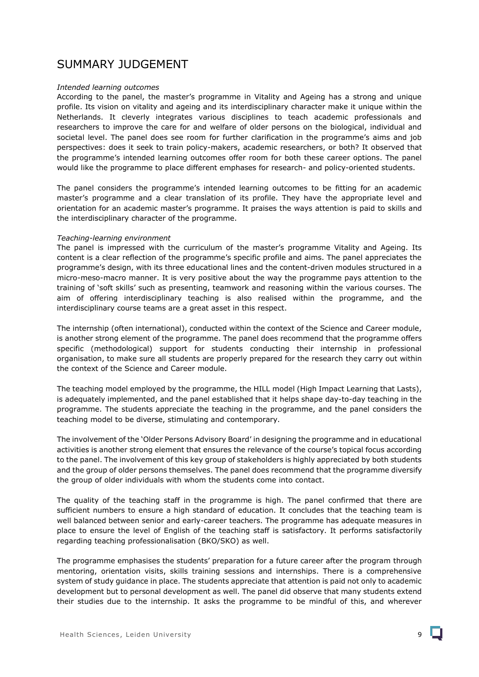# <span id="page-8-0"></span>SUMMARY JUDGEMENT

#### *Intended learning outcomes*

According to the panel, the master's programme in Vitality and Ageing has a strong and unique profile. Its vision on vitality and ageing and its interdisciplinary character make it unique within the Netherlands. It cleverly integrates various disciplines to teach academic professionals and researchers to improve the care for and welfare of older persons on the biological, individual and societal level. The panel does see room for further clarification in the programme's aims and job perspectives: does it seek to train policy-makers, academic researchers, or both? It observed that the programme's intended learning outcomes offer room for both these career options. The panel would like the programme to place different emphases for research- and policy-oriented students.

The panel considers the programme's intended learning outcomes to be fitting for an academic master's programme and a clear translation of its profile. They have the appropriate level and orientation for an academic master's programme. It praises the ways attention is paid to skills and the interdisciplinary character of the programme.

#### *Teaching-learning environment*

The panel is impressed with the curriculum of the master's programme Vitality and Ageing. Its content is a clear reflection of the programme's specific profile and aims. The panel appreciates the programme's design, with its three educational lines and the content-driven modules structured in a micro-meso-macro manner. It is very positive about the way the programme pays attention to the training of 'soft skills' such as presenting, teamwork and reasoning within the various courses. The aim of offering interdisciplinary teaching is also realised within the programme, and the interdisciplinary course teams are a great asset in this respect.

The internship (often international), conducted within the context of the Science and Career module, is another strong element of the programme. The panel does recommend that the programme offers specific (methodological) support for students conducting their internship in professional organisation, to make sure all students are properly prepared for the research they carry out within the context of the Science and Career module.

The teaching model employed by the programme, the HILL model (High Impact Learning that Lasts), is adequately implemented, and the panel established that it helps shape day-to-day teaching in the programme. The students appreciate the teaching in the programme, and the panel considers the teaching model to be diverse, stimulating and contemporary.

The involvement of the 'Older Persons Advisory Board' in designing the programme and in educational activities is another strong element that ensures the relevance of the course's topical focus according to the panel. The involvement of this key group of stakeholders is highly appreciated by both students and the group of older persons themselves. The panel does recommend that the programme diversify the group of older individuals with whom the students come into contact.

The quality of the teaching staff in the programme is high. The panel confirmed that there are sufficient numbers to ensure a high standard of education. It concludes that the teaching team is well balanced between senior and early-career teachers. The programme has adequate measures in place to ensure the level of English of the teaching staff is satisfactory. It performs satisfactorily regarding teaching professionalisation (BKO/SKO) as well.

The programme emphasises the students' preparation for a future career after the program through mentoring, orientation visits, skills training sessions and internships. There is a comprehensive system of study guidance in place. The students appreciate that attention is paid not only to academic development but to personal development as well. The panel did observe that many students extend their studies due to the internship. It asks the programme to be mindful of this, and wherever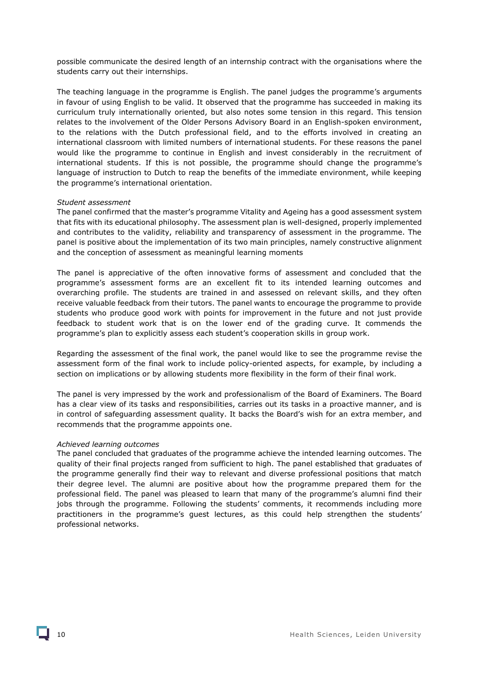possible communicate the desired length of an internship contract with the organisations where the students carry out their internships.

The teaching language in the programme is English. The panel judges the programme's arguments in favour of using English to be valid. It observed that the programme has succeeded in making its curriculum truly internationally oriented, but also notes some tension in this regard. This tension relates to the involvement of the Older Persons Advisory Board in an English-spoken environment, to the relations with the Dutch professional field, and to the efforts involved in creating an international classroom with limited numbers of international students. For these reasons the panel would like the programme to continue in English and invest considerably in the recruitment of international students. If this is not possible, the programme should change the programme's language of instruction to Dutch to reap the benefits of the immediate environment, while keeping the programme's international orientation.

### *Student assessment*

The panel confirmed that the master's programme Vitality and Ageing has a good assessment system that fits with its educational philosophy. The assessment plan is well-designed, properly implemented and contributes to the validity, reliability and transparency of assessment in the programme. The panel is positive about the implementation of its two main principles, namely constructive alignment and the conception of assessment as meaningful learning moments

The panel is appreciative of the often innovative forms of assessment and concluded that the programme's assessment forms are an excellent fit to its intended learning outcomes and overarching profile. The students are trained in and assessed on relevant skills, and they often receive valuable feedback from their tutors. The panel wants to encourage the programme to provide students who produce good work with points for improvement in the future and not just provide feedback to student work that is on the lower end of the grading curve. It commends the programme's plan to explicitly assess each student's cooperation skills in group work.

Regarding the assessment of the final work, the panel would like to see the programme revise the assessment form of the final work to include policy-oriented aspects, for example, by including a section on implications or by allowing students more flexibility in the form of their final work.

The panel is very impressed by the work and professionalism of the Board of Examiners. The Board has a clear view of its tasks and responsibilities, carries out its tasks in a proactive manner, and is in control of safeguarding assessment quality. It backs the Board's wish for an extra member, and recommends that the programme appoints one.

#### *Achieved learning outcomes*

The panel concluded that graduates of the programme achieve the intended learning outcomes. The quality of their final projects ranged from sufficient to high. The panel established that graduates of the programme generally find their way to relevant and diverse professional positions that match their degree level. The alumni are positive about how the programme prepared them for the professional field. The panel was pleased to learn that many of the programme's alumni find their jobs through the programme. Following the students' comments, it recommends including more practitioners in the programme's guest lectures, as this could help strengthen the students' professional networks.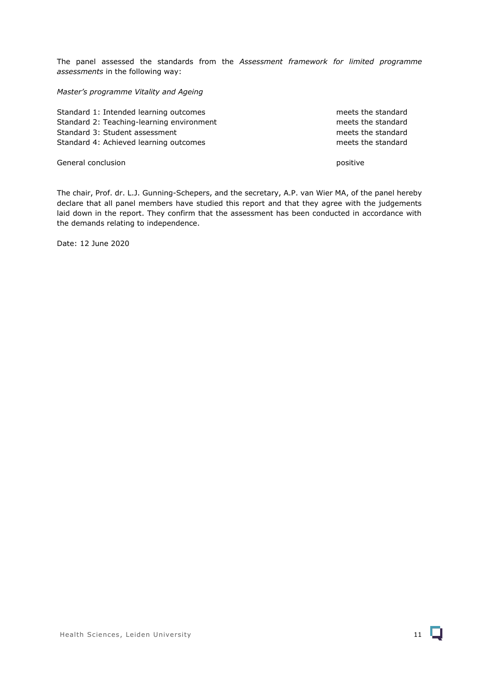The panel assessed the standards from the *Assessment framework for limited programme assessments* in the following way:

*Master's programme Vitality and Ageing*

Standard 1: Intended learning outcomes meets the standard meets the standard Standard 2: Teaching-learning environment meets the standard meets the standard Standard 3: Student assessment meets the standard meets the standard Standard 4: Achieved learning outcomes meets the standard meets the standard

General conclusion **provides** and positive positive positive positive positive positive positive positive positive positive positive positive positive positive positive positive positive positive positive positive positive

The chair, Prof. dr. L.J. Gunning-Schepers, and the secretary, A.P. van Wier MA, of the panel hereby declare that all panel members have studied this report and that they agree with the judgements laid down in the report. They confirm that the assessment has been conducted in accordance with the demands relating to independence.

Date: 12 June 2020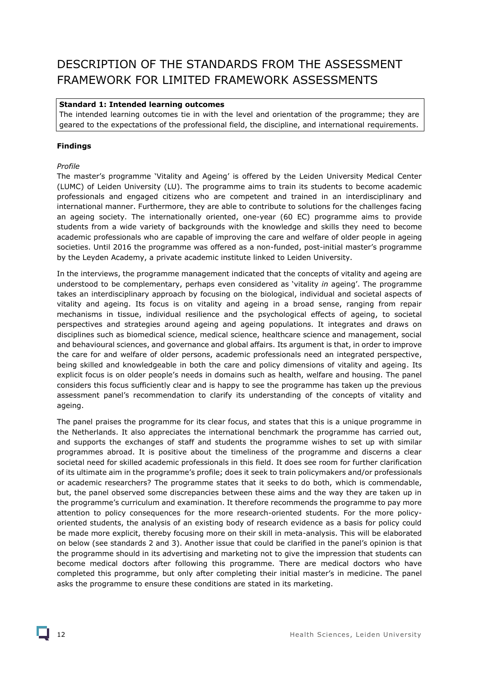# <span id="page-11-0"></span>DESCRIPTION OF THE STANDARDS FROM THE ASSESSMENT FRAMEWORK FOR LIMITED FRAMEWORK ASSESSMENTS

# **Standard 1: Intended learning outcomes**

The intended learning outcomes tie in with the level and orientation of the programme; they are geared to the expectations of the professional field, the discipline, and international requirements.

### **Findings**

### *Profile*

The master's programme 'Vitality and Ageing' is offered by the Leiden University Medical Center (LUMC) of Leiden University (LU). The programme aims to train its students to become academic professionals and engaged citizens who are competent and trained in an interdisciplinary and international manner. Furthermore, they are able to contribute to solutions for the challenges facing an ageing society. The internationally oriented, one-year (60 EC) programme aims to provide students from a wide variety of backgrounds with the knowledge and skills they need to become academic professionals who are capable of improving the care and welfare of older people in ageing societies. Until 2016 the programme was offered as a non-funded, post-initial master's programme by the Leyden Academy, a private academic institute linked to Leiden University.

In the interviews, the programme management indicated that the concepts of vitality and ageing are understood to be complementary, perhaps even considered as 'vitality *in* ageing'. The programme takes an interdisciplinary approach by focusing on the biological, individual and societal aspects of vitality and ageing. Its focus is on vitality and ageing in a broad sense, ranging from repair mechanisms in tissue, individual resilience and the psychological effects of ageing, to societal perspectives and strategies around ageing and ageing populations. It integrates and draws on disciplines such as biomedical science, medical science, healthcare science and management, social and behavioural sciences, and governance and global affairs. Its argument is that, in order to improve the care for and welfare of older persons, academic professionals need an integrated perspective, being skilled and knowledgeable in both the care and policy dimensions of vitality and ageing. Its explicit focus is on older people's needs in domains such as health, welfare and housing. The panel considers this focus sufficiently clear and is happy to see the programme has taken up the previous assessment panel's recommendation to clarify its understanding of the concepts of vitality and ageing.

The panel praises the programme for its clear focus, and states that this is a unique programme in the Netherlands. It also appreciates the international benchmark the programme has carried out, and supports the exchanges of staff and students the programme wishes to set up with similar programmes abroad. It is positive about the timeliness of the programme and discerns a clear societal need for skilled academic professionals in this field. It does see room for further clarification of its ultimate aim in the programme's profile; does it seek to train policymakers and/or professionals or academic researchers? The programme states that it seeks to do both, which is commendable, but, the panel observed some discrepancies between these aims and the way they are taken up in the programme's curriculum and examination. It therefore recommends the programme to pay more attention to policy consequences for the more research-oriented students. For the more policyoriented students, the analysis of an existing body of research evidence as a basis for policy could be made more explicit, thereby focusing more on their skill in meta-analysis. This will be elaborated on below (see standards 2 and 3). Another issue that could be clarified in the panel's opinion is that the programme should in its advertising and marketing not to give the impression that students can become medical doctors after following this programme. There are medical doctors who have completed this programme, but only after completing their initial master's in medicine. The panel asks the programme to ensure these conditions are stated in its marketing.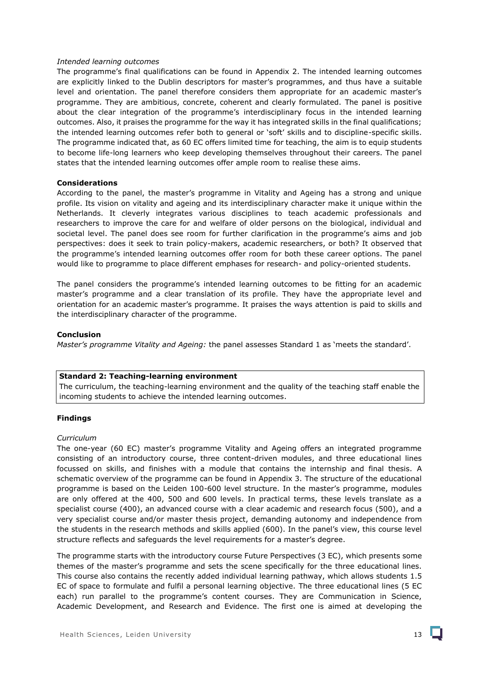#### *Intended learning outcomes*

The programme's final qualifications can be found in Appendix 2. The intended learning outcomes are explicitly linked to the Dublin descriptors for master's programmes, and thus have a suitable level and orientation. The panel therefore considers them appropriate for an academic master's programme. They are ambitious, concrete, coherent and clearly formulated. The panel is positive about the clear integration of the programme's interdisciplinary focus in the intended learning outcomes. Also, it praises the programme for the way it has integrated skills in the final qualifications; the intended learning outcomes refer both to general or 'soft' skills and to discipline-specific skills. The programme indicated that, as 60 EC offers limited time for teaching, the aim is to equip students to become life-long learners who keep developing themselves throughout their careers. The panel states that the intended learning outcomes offer ample room to realise these aims.

#### **Considerations**

According to the panel, the master's programme in Vitality and Ageing has a strong and unique profile. Its vision on vitality and ageing and its interdisciplinary character make it unique within the Netherlands. It cleverly integrates various disciplines to teach academic professionals and researchers to improve the care for and welfare of older persons on the biological, individual and societal level. The panel does see room for further clarification in the programme's aims and job perspectives: does it seek to train policy-makers, academic researchers, or both? It observed that the programme's intended learning outcomes offer room for both these career options. The panel would like to programme to place different emphases for research- and policy-oriented students.

The panel considers the programme's intended learning outcomes to be fitting for an academic master's programme and a clear translation of its profile. They have the appropriate level and orientation for an academic master's programme. It praises the ways attention is paid to skills and the interdisciplinary character of the programme.

#### **Conclusion**

*Master's programme Vitality and Ageing:* the panel assesses Standard 1 as 'meets the standard'.

#### **Standard 2: Teaching-learning environment**

The curriculum, the teaching-learning environment and the quality of the teaching staff enable the incoming students to achieve the intended learning outcomes.

### **Findings**

#### *Curriculum*

The one-year (60 EC) master's programme Vitality and Ageing offers an integrated programme consisting of an introductory course, three content-driven modules, and three educational lines focussed on skills, and finishes with a module that contains the internship and final thesis. A schematic overview of the programme can be found in Appendix 3. The structure of the educational programme is based on the Leiden 100-600 level structure. In the master's programme, modules are only offered at the 400, 500 and 600 levels. In practical terms, these levels translate as a specialist course (400), an advanced course with a clear academic and research focus (500), and a very specialist course and/or master thesis project, demanding autonomy and independence from the students in the research methods and skills applied (600). In the panel's view, this course level structure reflects and safeguards the level requirements for a master's degree.

The programme starts with the introductory course Future Perspectives (3 EC), which presents some themes of the master's programme and sets the scene specifically for the three educational lines. This course also contains the recently added individual learning pathway, which allows students 1.5 EC of space to formulate and fulfil a personal learning objective. The three educational lines (5 EC each) run parallel to the programme's content courses. They are Communication in Science, Academic Development, and Research and Evidence. The first one is aimed at developing the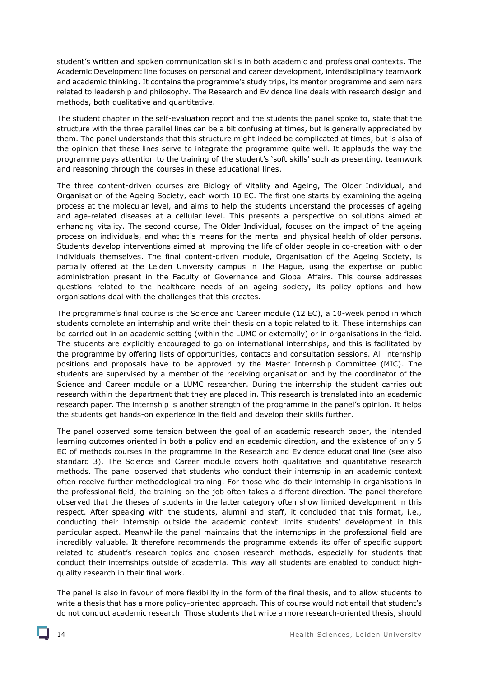student's written and spoken communication skills in both academic and professional contexts. The Academic Development line focuses on personal and career development, interdisciplinary teamwork and academic thinking. It contains the programme's study trips, its mentor programme and seminars related to leadership and philosophy. The Research and Evidence line deals with research design and methods, both qualitative and quantitative.

The student chapter in the self-evaluation report and the students the panel spoke to, state that the structure with the three parallel lines can be a bit confusing at times, but is generally appreciated by them. The panel understands that this structure might indeed be complicated at times, but is also of the opinion that these lines serve to integrate the programme quite well. It applauds the way the programme pays attention to the training of the student's 'soft skills' such as presenting, teamwork and reasoning through the courses in these educational lines.

The three content-driven courses are Biology of Vitality and Ageing, The Older Individual, and Organisation of the Ageing Society, each worth 10 EC. The first one starts by examining the ageing process at the molecular level, and aims to help the students understand the processes of ageing and age-related diseases at a cellular level. This presents a perspective on solutions aimed at enhancing vitality. The second course, The Older Individual, focuses on the impact of the ageing process on individuals, and what this means for the mental and physical health of older persons. Students develop interventions aimed at improving the life of older people in co-creation with older individuals themselves. The final content-driven module, Organisation of the Ageing Society, is partially offered at the Leiden University campus in The Hague, using the expertise on public administration present in the Faculty of Governance and Global Affairs. This course addresses questions related to the healthcare needs of an ageing society, its policy options and how organisations deal with the challenges that this creates.

The programme's final course is the Science and Career module (12 EC), a 10-week period in which students complete an internship and write their thesis on a topic related to it. These internships can be carried out in an academic setting (within the LUMC or externally) or in organisations in the field. The students are explicitly encouraged to go on international internships, and this is facilitated by the programme by offering lists of opportunities, contacts and consultation sessions. All internship positions and proposals have to be approved by the Master Internship Committee (MIC). The students are supervised by a member of the receiving organisation and by the coordinator of the Science and Career module or a LUMC researcher. During the internship the student carries out research within the department that they are placed in. This research is translated into an academic research paper. The internship is another strength of the programme in the panel's opinion. It helps the students get hands-on experience in the field and develop their skills further.

The panel observed some tension between the goal of an academic research paper, the intended learning outcomes oriented in both a policy and an academic direction, and the existence of only 5 EC of methods courses in the programme in the Research and Evidence educational line (see also standard 3). The Science and Career module covers both qualitative and quantitative research methods. The panel observed that students who conduct their internship in an academic context often receive further methodological training. For those who do their internship in organisations in the professional field, the training-on-the-job often takes a different direction. The panel therefore observed that the theses of students in the latter category often show limited development in this respect. After speaking with the students, alumni and staff, it concluded that this format, i.e., conducting their internship outside the academic context limits students' development in this particular aspect. Meanwhile the panel maintains that the internships in the professional field are incredibly valuable. It therefore recommends the programme extends its offer of specific support related to student's research topics and chosen research methods, especially for students that conduct their internships outside of academia. This way all students are enabled to conduct highquality research in their final work.

The panel is also in favour of more flexibility in the form of the final thesis, and to allow students to write a thesis that has a more policy-oriented approach. This of course would not entail that student's do not conduct academic research. Those students that write a more research-oriented thesis, should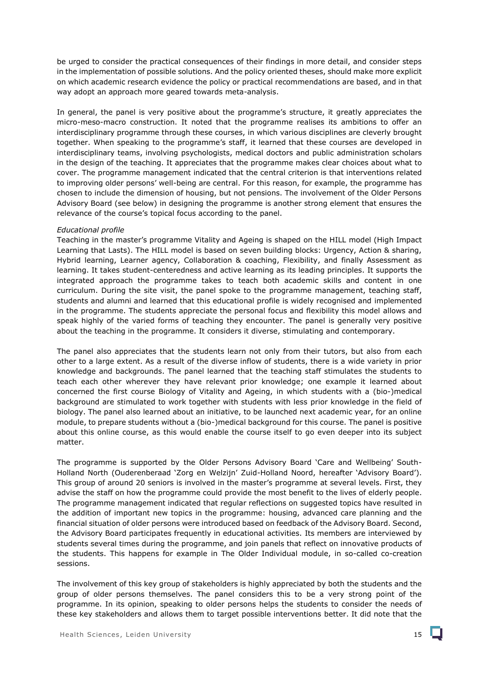be urged to consider the practical consequences of their findings in more detail, and consider steps in the implementation of possible solutions. And the policy oriented theses, should make more explicit on which academic research evidence the policy or practical recommendations are based, and in that way adopt an approach more geared towards meta-analysis.

In general, the panel is very positive about the programme's structure, it greatly appreciates the micro-meso-macro construction. It noted that the programme realises its ambitions to offer an interdisciplinary programme through these courses, in which various disciplines are cleverly brought together. When speaking to the programme's staff, it learned that these courses are developed in interdisciplinary teams, involving psychologists, medical doctors and public administration scholars in the design of the teaching. It appreciates that the programme makes clear choices about what to cover. The programme management indicated that the central criterion is that interventions related to improving older persons' well-being are central. For this reason, for example, the programme has chosen to include the dimension of housing, but not pensions. The involvement of the Older Persons Advisory Board (see below) in designing the programme is another strong element that ensures the relevance of the course's topical focus according to the panel.

#### *Educational profile*

Teaching in the master's programme Vitality and Ageing is shaped on the HILL model (High Impact Learning that Lasts). The HILL model is based on seven building blocks: Urgency, Action & sharing, Hybrid learning, Learner agency, Collaboration & coaching, Flexibility, and finally Assessment as learning. It takes student-centeredness and active learning as its leading principles. It supports the integrated approach the programme takes to teach both academic skills and content in one curriculum. During the site visit, the panel spoke to the programme management, teaching staff, students and alumni and learned that this educational profile is widely recognised and implemented in the programme. The students appreciate the personal focus and flexibility this model allows and speak highly of the varied forms of teaching they encounter. The panel is generally very positive about the teaching in the programme. It considers it diverse, stimulating and contemporary.

The panel also appreciates that the students learn not only from their tutors, but also from each other to a large extent. As a result of the diverse inflow of students, there is a wide variety in prior knowledge and backgrounds. The panel learned that the teaching staff stimulates the students to teach each other wherever they have relevant prior knowledge; one example it learned about concerned the first course Biology of Vitality and Ageing, in which students with a (bio-)medical background are stimulated to work together with students with less prior knowledge in the field of biology. The panel also learned about an initiative, to be launched next academic year, for an online module, to prepare students without a (bio-)medical background for this course. The panel is positive about this online course, as this would enable the course itself to go even deeper into its subject matter.

The programme is supported by the Older Persons Advisory Board 'Care and Wellbeing' South-Holland North (Ouderenberaad 'Zorg en Welzijn' Zuid-Holland Noord, hereafter 'Advisory Board'). This group of around 20 seniors is involved in the master's programme at several levels. First, they advise the staff on how the programme could provide the most benefit to the lives of elderly people. The programme management indicated that regular reflections on suggested topics have resulted in the addition of important new topics in the programme: housing, advanced care planning and the financial situation of older persons were introduced based on feedback of the Advisory Board. Second, the Advisory Board participates frequently in educational activities. Its members are interviewed by students several times during the programme, and join panels that reflect on innovative products of the students. This happens for example in The Older Individual module, in so-called co-creation sessions.

The involvement of this key group of stakeholders is highly appreciated by both the students and the group of older persons themselves. The panel considers this to be a very strong point of the programme. In its opinion, speaking to older persons helps the students to consider the needs of these key stakeholders and allows them to target possible interventions better. It did note that the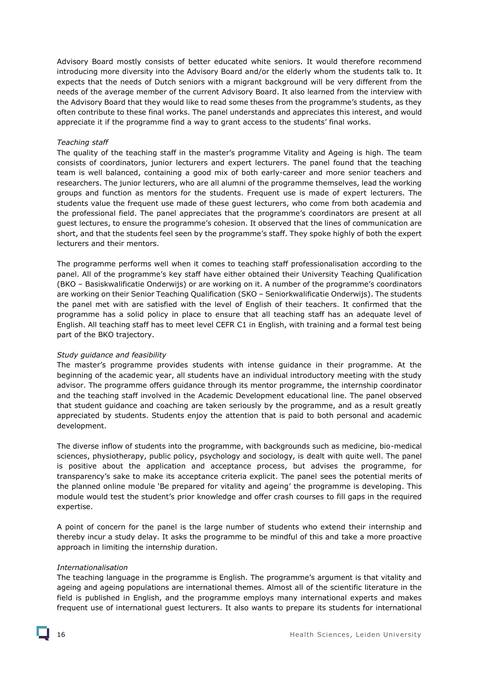Advisory Board mostly consists of better educated white seniors. It would therefore recommend introducing more diversity into the Advisory Board and/or the elderly whom the students talk to. It expects that the needs of Dutch seniors with a migrant background will be very different from the needs of the average member of the current Advisory Board. It also learned from the interview with the Advisory Board that they would like to read some theses from the programme's students, as they often contribute to these final works. The panel understands and appreciates this interest, and would appreciate it if the programme find a way to grant access to the students' final works.

#### *Teaching staff*

The quality of the teaching staff in the master's programme Vitality and Ageing is high. The team consists of coordinators, junior lecturers and expert lecturers. The panel found that the teaching team is well balanced, containing a good mix of both early-career and more senior teachers and researchers. The junior lecturers, who are all alumni of the programme themselves, lead the working groups and function as mentors for the students. Frequent use is made of expert lecturers. The students value the frequent use made of these guest lecturers, who come from both academia and the professional field. The panel appreciates that the programme's coordinators are present at all guest lectures, to ensure the programme's cohesion. It observed that the lines of communication are short, and that the students feel seen by the programme's staff. They spoke highly of both the expert lecturers and their mentors.

The programme performs well when it comes to teaching staff professionalisation according to the panel. All of the programme's key staff have either obtained their University Teaching Qualification (BKO – Basiskwalificatie Onderwijs) or are working on it. A number of the programme's coordinators are working on their Senior Teaching Qualification (SKO – Seniorkwalificatie Onderwijs). The students the panel met with are satisfied with the level of English of their teachers. It confirmed that the programme has a solid policy in place to ensure that all teaching staff has an adequate level of English. All teaching staff has to meet level CEFR C1 in English, with training and a formal test being part of the BKO trajectory.

#### *Study guidance and feasibility*

The master's programme provides students with intense guidance in their programme. At the beginning of the academic year, all students have an individual introductory meeting with the study advisor. The programme offers guidance through its mentor programme, the internship coordinator and the teaching staff involved in the Academic Development educational line. The panel observed that student guidance and coaching are taken seriously by the programme, and as a result greatly appreciated by students. Students enjoy the attention that is paid to both personal and academic development.

The diverse inflow of students into the programme, with backgrounds such as medicine, bio-medical sciences, physiotherapy, public policy, psychology and sociology, is dealt with quite well. The panel is positive about the application and acceptance process, but advises the programme, for transparency's sake to make its acceptance criteria explicit. The panel sees the potential merits of the planned online module 'Be prepared for vitality and ageing' the programme is developing. This module would test the student's prior knowledge and offer crash courses to fill gaps in the required expertise.

A point of concern for the panel is the large number of students who extend their internship and thereby incur a study delay. It asks the programme to be mindful of this and take a more proactive approach in limiting the internship duration.

#### *Internationalisation*

The teaching language in the programme is English. The programme's argument is that vitality and ageing and ageing populations are international themes. Almost all of the scientific literature in the field is published in English, and the programme employs many international experts and makes frequent use of international guest lecturers. It also wants to prepare its students for international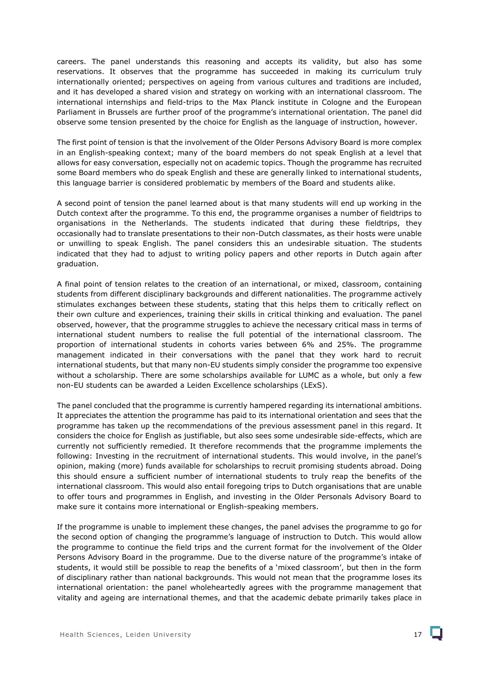careers. The panel understands this reasoning and accepts its validity, but also has some reservations. It observes that the programme has succeeded in making its curriculum truly internationally oriented; perspectives on ageing from various cultures and traditions are included, and it has developed a shared vision and strategy on working with an international classroom. The international internships and field-trips to the Max Planck institute in Cologne and the European Parliament in Brussels are further proof of the programme's international orientation. The panel did observe some tension presented by the choice for English as the language of instruction, however.

The first point of tension is that the involvement of the Older Persons Advisory Board is more complex in an English-speaking context; many of the board members do not speak English at a level that allows for easy conversation, especially not on academic topics. Though the programme has recruited some Board members who do speak English and these are generally linked to international students, this language barrier is considered problematic by members of the Board and students alike.

A second point of tension the panel learned about is that many students will end up working in the Dutch context after the programme. To this end, the programme organises a number of fieldtrips to organisations in the Netherlands. The students indicated that during these fieldtrips, they occasionally had to translate presentations to their non-Dutch classmates, as their hosts were unable or unwilling to speak English. The panel considers this an undesirable situation. The students indicated that they had to adjust to writing policy papers and other reports in Dutch again after graduation.

A final point of tension relates to the creation of an international, or mixed, classroom, containing students from different disciplinary backgrounds and different nationalities. The programme actively stimulates exchanges between these students, stating that this helps them to critically reflect on their own culture and experiences, training their skills in critical thinking and evaluation. The panel observed, however, that the programme struggles to achieve the necessary critical mass in terms of international student numbers to realise the full potential of the international classroom. The proportion of international students in cohorts varies between 6% and 25%. The programme management indicated in their conversations with the panel that they work hard to recruit international students, but that many non-EU students simply consider the programme too expensive without a scholarship. There are some scholarships available for LUMC as a whole, but only a few non-EU students can be awarded a Leiden Excellence scholarships (LExS).

The panel concluded that the programme is currently hampered regarding its international ambitions. It appreciates the attention the programme has paid to its international orientation and sees that the programme has taken up the recommendations of the previous assessment panel in this regard. It considers the choice for English as justifiable, but also sees some undesirable side-effects, which are currently not sufficiently remedied. It therefore recommends that the programme implements the following: Investing in the recruitment of international students. This would involve, in the panel's opinion, making (more) funds available for scholarships to recruit promising students abroad. Doing this should ensure a sufficient number of international students to truly reap the benefits of the international classroom. This would also entail foregoing trips to Dutch organisations that are unable to offer tours and programmes in English, and investing in the Older Personals Advisory Board to make sure it contains more international or English-speaking members.

If the programme is unable to implement these changes, the panel advises the programme to go for the second option of changing the programme's language of instruction to Dutch. This would allow the programme to continue the field trips and the current format for the involvement of the Older Persons Advisory Board in the programme. Due to the diverse nature of the programme's intake of students, it would still be possible to reap the benefits of a 'mixed classroom', but then in the form of disciplinary rather than national backgrounds. This would not mean that the programme loses its international orientation: the panel wholeheartedly agrees with the programme management that vitality and ageing are international themes, and that the academic debate primarily takes place in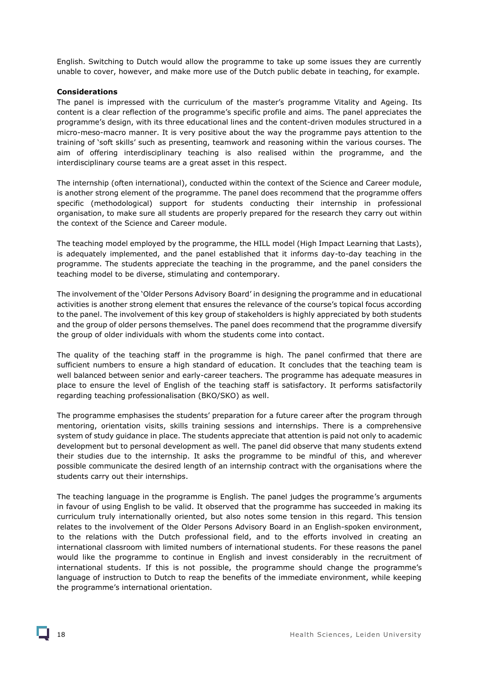English. Switching to Dutch would allow the programme to take up some issues they are currently unable to cover, however, and make more use of the Dutch public debate in teaching, for example.

### **Considerations**

The panel is impressed with the curriculum of the master's programme Vitality and Ageing. Its content is a clear reflection of the programme's specific profile and aims. The panel appreciates the programme's design, with its three educational lines and the content-driven modules structured in a micro-meso-macro manner. It is very positive about the way the programme pays attention to the training of 'soft skills' such as presenting, teamwork and reasoning within the various courses. The aim of offering interdisciplinary teaching is also realised within the programme, and the interdisciplinary course teams are a great asset in this respect.

The internship (often international), conducted within the context of the Science and Career module. is another strong element of the programme. The panel does recommend that the programme offers specific (methodological) support for students conducting their internship in professional organisation, to make sure all students are properly prepared for the research they carry out within the context of the Science and Career module.

The teaching model employed by the programme, the HILL model (High Impact Learning that Lasts), is adequately implemented, and the panel established that it informs day-to-day teaching in the programme. The students appreciate the teaching in the programme, and the panel considers the teaching model to be diverse, stimulating and contemporary.

The involvement of the 'Older Persons Advisory Board' in designing the programme and in educational activities is another strong element that ensures the relevance of the course's topical focus according to the panel. The involvement of this key group of stakeholders is highly appreciated by both students and the group of older persons themselves. The panel does recommend that the programme diversify the group of older individuals with whom the students come into contact.

The quality of the teaching staff in the programme is high. The panel confirmed that there are sufficient numbers to ensure a high standard of education. It concludes that the teaching team is well balanced between senior and early-career teachers. The programme has adequate measures in place to ensure the level of English of the teaching staff is satisfactory. It performs satisfactorily regarding teaching professionalisation (BKO/SKO) as well.

The programme emphasises the students' preparation for a future career after the program through mentoring, orientation visits, skills training sessions and internships. There is a comprehensive system of study guidance in place. The students appreciate that attention is paid not only to academic development but to personal development as well. The panel did observe that many students extend their studies due to the internship. It asks the programme to be mindful of this, and wherever possible communicate the desired length of an internship contract with the organisations where the students carry out their internships.

The teaching language in the programme is English. The panel judges the programme's arguments in favour of using English to be valid. It observed that the programme has succeeded in making its curriculum truly internationally oriented, but also notes some tension in this regard. This tension relates to the involvement of the Older Persons Advisory Board in an English-spoken environment, to the relations with the Dutch professional field, and to the efforts involved in creating an international classroom with limited numbers of international students. For these reasons the panel would like the programme to continue in English and invest considerably in the recruitment of international students. If this is not possible, the programme should change the programme's language of instruction to Dutch to reap the benefits of the immediate environment, while keeping the programme's international orientation.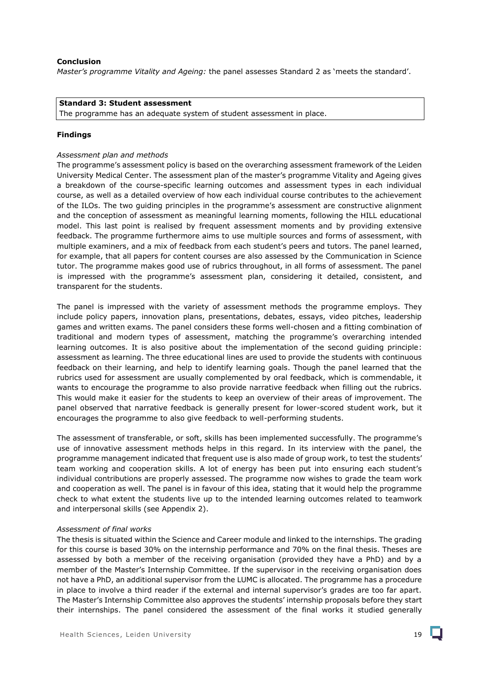### **Conclusion**

*Master's programme Vitality and Ageing:* the panel assesses Standard 2 as 'meets the standard'.

#### **Standard 3: Student assessment**

The programme has an adequate system of student assessment in place.

#### **Findings**

#### *Assessment plan and methods*

The programme's assessment policy is based on the overarching assessment framework of the Leiden University Medical Center. The assessment plan of the master's programme Vitality and Ageing gives a breakdown of the course-specific learning outcomes and assessment types in each individual course, as well as a detailed overview of how each individual course contributes to the achievement of the ILOs. The two guiding principles in the programme's assessment are constructive alignment and the conception of assessment as meaningful learning moments, following the HILL educational model. This last point is realised by frequent assessment moments and by providing extensive feedback. The programme furthermore aims to use multiple sources and forms of assessment, with multiple examiners, and a mix of feedback from each student's peers and tutors. The panel learned, for example, that all papers for content courses are also assessed by the Communication in Science tutor. The programme makes good use of rubrics throughout, in all forms of assessment. The panel is impressed with the programme's assessment plan, considering it detailed, consistent, and transparent for the students.

The panel is impressed with the variety of assessment methods the programme employs. They include policy papers, innovation plans, presentations, debates, essays, video pitches, leadership games and written exams. The panel considers these forms well-chosen and a fitting combination of traditional and modern types of assessment, matching the programme's overarching intended learning outcomes. It is also positive about the implementation of the second guiding principle: assessment as learning. The three educational lines are used to provide the students with continuous feedback on their learning, and help to identify learning goals. Though the panel learned that the rubrics used for assessment are usually complemented by oral feedback, which is commendable, it wants to encourage the programme to also provide narrative feedback when filling out the rubrics. This would make it easier for the students to keep an overview of their areas of improvement. The panel observed that narrative feedback is generally present for lower-scored student work, but it encourages the programme to also give feedback to well-performing students.

The assessment of transferable, or soft, skills has been implemented successfully. The programme's use of innovative assessment methods helps in this regard. In its interview with the panel, the programme management indicated that frequent use is also made of group work, to test the students' team working and cooperation skills. A lot of energy has been put into ensuring each student's individual contributions are properly assessed. The programme now wishes to grade the team work and cooperation as well. The panel is in favour of this idea, stating that it would help the programme check to what extent the students live up to the intended learning outcomes related to teamwork and interpersonal skills (see Appendix 2).

#### *Assessment of final works*

The thesis is situated within the Science and Career module and linked to the internships. The grading for this course is based 30% on the internship performance and 70% on the final thesis. Theses are assessed by both a member of the receiving organisation (provided they have a PhD) and by a member of the Master's Internship Committee. If the supervisor in the receiving organisation does not have a PhD, an additional supervisor from the LUMC is allocated. The programme has a procedure in place to involve a third reader if the external and internal supervisor's grades are too far apart. The Master's Internship Committee also approves the students' internship proposals before they start their internships. The panel considered the assessment of the final works it studied generally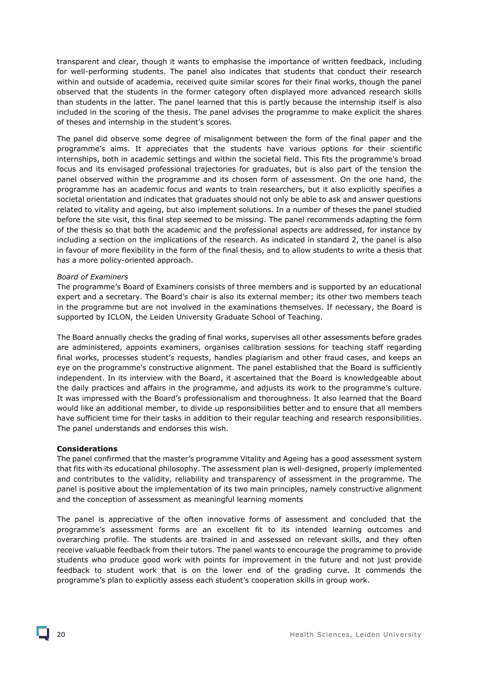transparent and clear, though it wants to emphasise the importance of written feedback, including for well-performing students. The panel also indicates that students that conduct their research within and outside of academia, received quite similar scores for their final works, though the panel observed that the students in the former category often displayed more advanced research skills than students in the latter. The panel learned that this is partly because the internship itself is also included in the scoring of the thesis. The panel advises the programme to make explicit the shares of theses and internship in the student's scores.

The panel did observe some degree of misalignment between the form of the final paper and the programme's aims. It appreciates that the students have various options for their scientific internships, both in academic settings and within the societal field. This fits the programme's broad focus and its envisaged professional trajectories for graduates, but is also part of the tension the panel observed within the programme and its chosen form of assessment. On the one hand, the programme has an academic focus and wants to train researchers, but it also explicitly specifies a societal orientation and indicates that graduates should not only be able to ask and answer questions related to vitality and ageing, but also implement solutions. In a number of theses the panel studied before the site visit, this final step seemed to be missing. The panel recommends adapting the form of the thesis so that both the academic and the professional aspects are addressed, for instance by including a section on the implications of the research. As indicated in standard 2, the panel is also in favour of more flexibility in the form of the final thesis, and to allow students to write a thesis that has a more policy-oriented approach.

#### *Board of Examiners*

The programme's Board of Examiners consists of three members and is supported by an educational expert and a secretary. The Board's chair is also its external member; its other two members teach in the programme but are not involved in the examinations themselves. If necessary, the Board is supported by ICLON, the Leiden University Graduate School of Teaching.

The Board annually checks the grading of final works, supervises all other assessments before grades are administered, appoints examiners, organises calibration sessions for teaching staff regarding final works, processes student's requests, handles plagiarism and other fraud cases, and keeps an eye on the programme's constructive alignment. The panel established that the Board is sufficiently independent. In its interview with the Board, it ascertained that the Board is knowledgeable about the daily practices and affairs in the programme, and adjusts its work to the programme's culture. It was impressed with the Board's professionalism and thoroughness. It also learned that the Board would like an additional member, to divide up responsibilities better and to ensure that all members have sufficient time for their tasks in addition to their regular teaching and research responsibilities. The panel understands and endorses this wish.

#### **Considerations**

The panel confirmed that the master's programme Vitality and Ageing has a good assessment system that fits with its educational philosophy. The assessment plan is well-designed, properly implemented and contributes to the validity, reliability and transparency of assessment in the programme. The panel is positive about the implementation of its two main principles, namely constructive alignment and the conception of assessment as meaningful learning moments

The panel is appreciative of the often innovative forms of assessment and concluded that the programme's assessment forms are an excellent fit to its intended learning outcomes and overarching profile. The students are trained in and assessed on relevant skills, and they often receive valuable feedback from their tutors. The panel wants to encourage the programme to provide students who produce good work with points for improvement in the future and not just provide feedback to student work that is on the lower end of the grading curve. It commends the programme's plan to explicitly assess each student's cooperation skills in group work.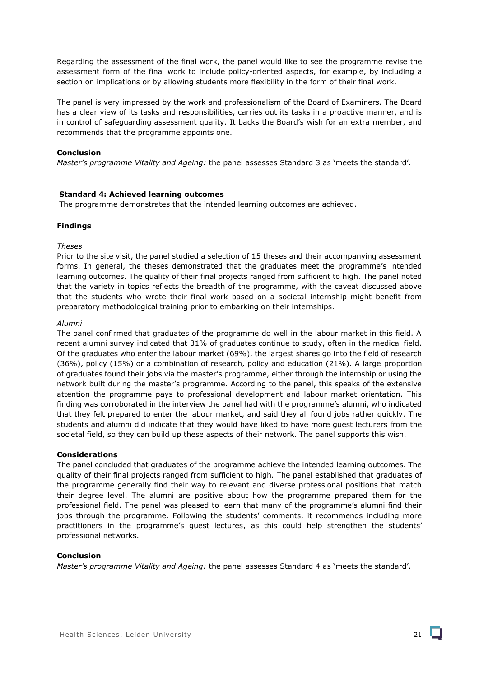Regarding the assessment of the final work, the panel would like to see the programme revise the assessment form of the final work to include policy-oriented aspects, for example, by including a section on implications or by allowing students more flexibility in the form of their final work.

The panel is very impressed by the work and professionalism of the Board of Examiners. The Board has a clear view of its tasks and responsibilities, carries out its tasks in a proactive manner, and is in control of safeguarding assessment quality. It backs the Board's wish for an extra member, and recommends that the programme appoints one.

# **Conclusion**

*Master's programme Vitality and Ageing:* the panel assesses Standard 3 as 'meets the standard'.

# **Standard 4: Achieved learning outcomes**

The programme demonstrates that the intended learning outcomes are achieved.

# **Findings**

# *Theses*

Prior to the site visit, the panel studied a selection of 15 theses and their accompanying assessment forms. In general, the theses demonstrated that the graduates meet the programme's intended learning outcomes. The quality of their final projects ranged from sufficient to high. The panel noted that the variety in topics reflects the breadth of the programme, with the caveat discussed above that the students who wrote their final work based on a societal internship might benefit from preparatory methodological training prior to embarking on their internships.

# *Alumni*

The panel confirmed that graduates of the programme do well in the labour market in this field. A recent alumni survey indicated that 31% of graduates continue to study, often in the medical field. Of the graduates who enter the labour market (69%), the largest shares go into the field of research (36%), policy (15%) or a combination of research, policy and education (21%). A large proportion of graduates found their jobs via the master's programme, either through the internship or using the network built during the master's programme. According to the panel, this speaks of the extensive attention the programme pays to professional development and labour market orientation. This finding was corroborated in the interview the panel had with the programme's alumni, who indicated that they felt prepared to enter the labour market, and said they all found jobs rather quickly. The students and alumni did indicate that they would have liked to have more guest lecturers from the societal field, so they can build up these aspects of their network. The panel supports this wish.

### **Considerations**

The panel concluded that graduates of the programme achieve the intended learning outcomes. The quality of their final projects ranged from sufficient to high. The panel established that graduates of the programme generally find their way to relevant and diverse professional positions that match their degree level. The alumni are positive about how the programme prepared them for the professional field. The panel was pleased to learn that many of the programme's alumni find their jobs through the programme. Following the students' comments, it recommends including more practitioners in the programme's guest lectures, as this could help strengthen the students' professional networks.

# **Conclusion**

*Master's programme Vitality and Ageing:* the panel assesses Standard 4 as 'meets the standard'.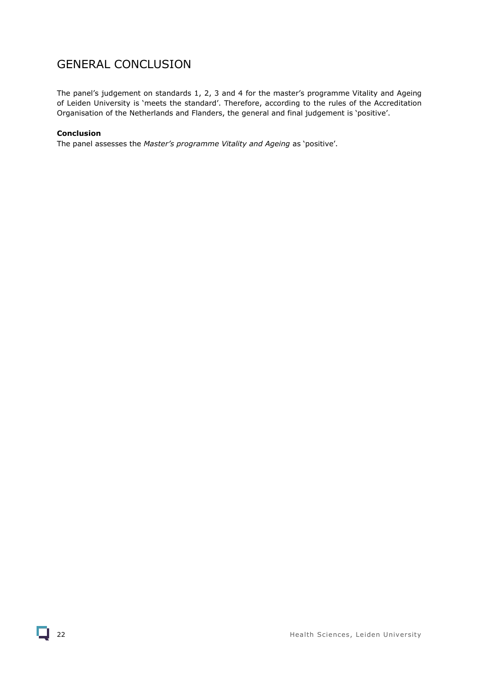# GENERAL CONCLUSION

The panel's judgement on standards 1, 2, 3 and 4 for the master's programme Vitality and Ageing of Leiden University is 'meets the standard'. Therefore, according to the rules of the Accreditation Organisation of the Netherlands and Flanders, the general and final judgement is 'positive'.

# **Conclusion**

The panel assesses the *Master's programme Vitality and Ageing* as 'positive'.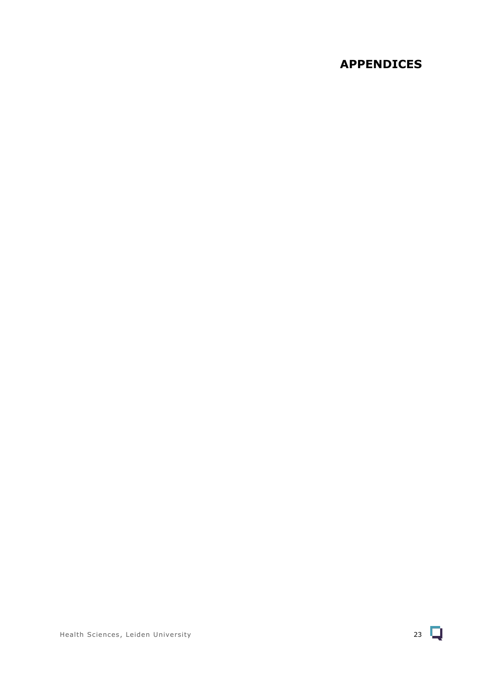# <span id="page-22-0"></span>**APPENDICES**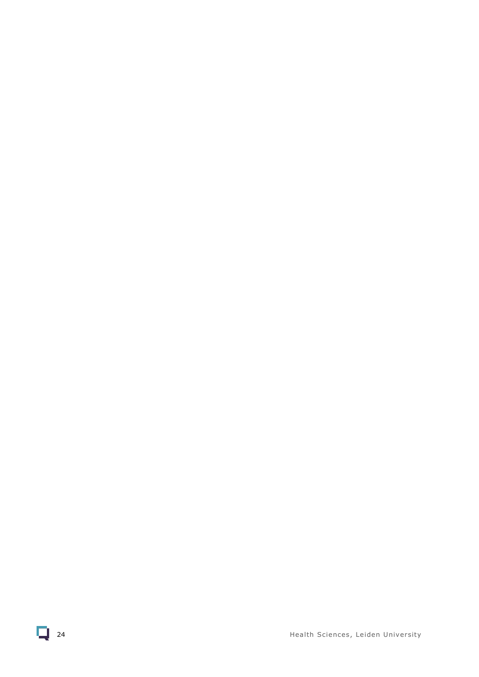24 Health Sciences, Leiden University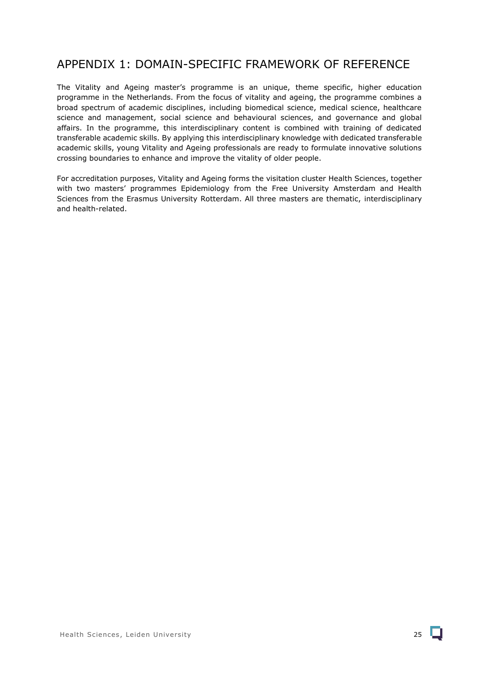# <span id="page-24-0"></span>APPENDIX 1: DOMAIN-SPECIFIC FRAMEWORK OF REFERENCE

The Vitality and Ageing master's programme is an unique, theme specific, higher education programme in the Netherlands. From the focus of vitality and ageing, the programme combines a broad spectrum of academic disciplines, including biomedical science, medical science, healthcare science and management, social science and behavioural sciences, and governance and global affairs. In the programme, this interdisciplinary content is combined with training of dedicated transferable academic skills. By applying this interdisciplinary knowledge with dedicated transferable academic skills, young Vitality and Ageing professionals are ready to formulate innovative solutions crossing boundaries to enhance and improve the vitality of older people.

For accreditation purposes, Vitality and Ageing forms the visitation cluster Health Sciences, together with two masters' programmes Epidemiology from the Free University Amsterdam and Health Sciences from the Erasmus University Rotterdam. All three masters are thematic, interdisciplinary and health-related.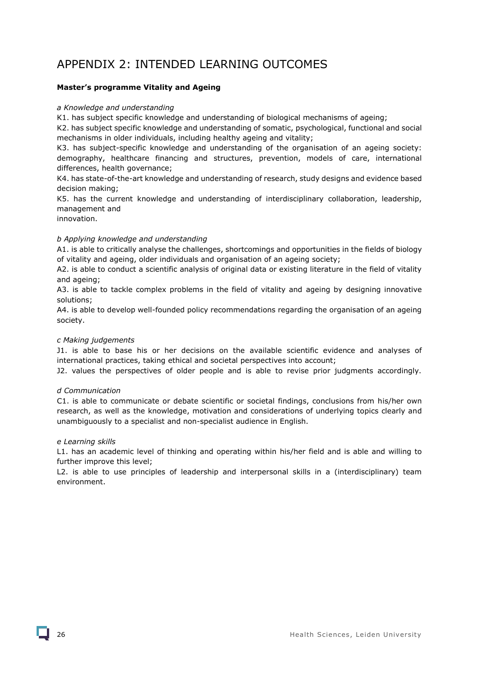# <span id="page-25-0"></span>APPENDIX 2: INTENDED LEARNING OUTCOMES

# **Master's programme Vitality and Ageing**

#### *a Knowledge and understanding*

K1. has subject specific knowledge and understanding of biological mechanisms of ageing;

K2. has subject specific knowledge and understanding of somatic, psychological, functional and social mechanisms in older individuals, including healthy ageing and vitality;

K3. has subject-specific knowledge and understanding of the organisation of an ageing society: demography, healthcare financing and structures, prevention, models of care, international differences, health governance;

K4. has state-of-the-art knowledge and understanding of research, study designs and evidence based decision making;

K5. has the current knowledge and understanding of interdisciplinary collaboration, leadership, management and

innovation.

### *b Applying knowledge and understanding*

A1. is able to critically analyse the challenges, shortcomings and opportunities in the fields of biology of vitality and ageing, older individuals and organisation of an ageing society;

A2. is able to conduct a scientific analysis of original data or existing literature in the field of vitality and ageing;

A3. is able to tackle complex problems in the field of vitality and ageing by designing innovative solutions;

A4. is able to develop well-founded policy recommendations regarding the organisation of an ageing society.

### *c Making judgements*

J1. is able to base his or her decisions on the available scientific evidence and analyses of international practices, taking ethical and societal perspectives into account;

J2. values the perspectives of older people and is able to revise prior judgments accordingly.

### *d Communication*

C1. is able to communicate or debate scientific or societal findings, conclusions from his/her own research, as well as the knowledge, motivation and considerations of underlying topics clearly and unambiguously to a specialist and non-specialist audience in English.

### *e Learning skills*

L1. has an academic level of thinking and operating within his/her field and is able and willing to further improve this level;

L2. is able to use principles of leadership and interpersonal skills in a (interdisciplinary) team environment.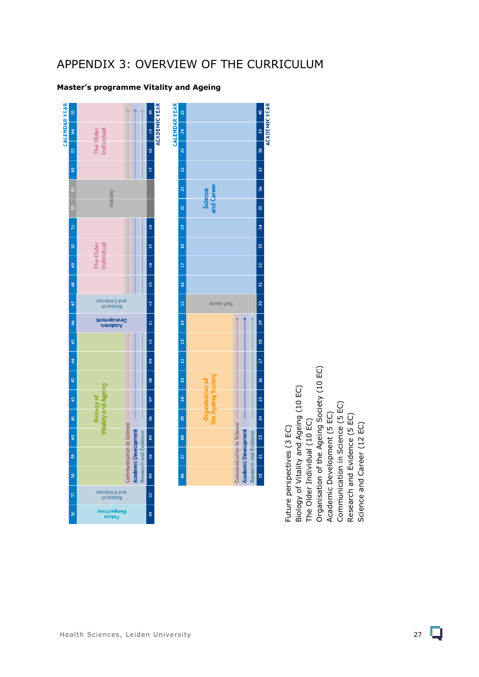# <span id="page-26-0"></span>APPENDIX 3: OVERVIEW OF THE CURRICULUM

# **Master's programme Vitality and Ageing**



Organisation of the Ageing Society (10 EC) Organisation of the Ageing Society (10 EC) Biology of Vitality and Ageing (10 EC) Giorl of Vitality and Ageing and Agencial CO Communication in Science (5 EC) Communication in Science (5 EC) Academic Development (5 EC) Academic Development (5 EC) Research and Evidence (5 EC) Research and Evidence (5 EC) The Older Individual (10 EC) The Older Individual (10 EC) Science and Career (12 EC) Science and Career (12 EC)Future perspectives (3 EC) Future perspectives (3 EC)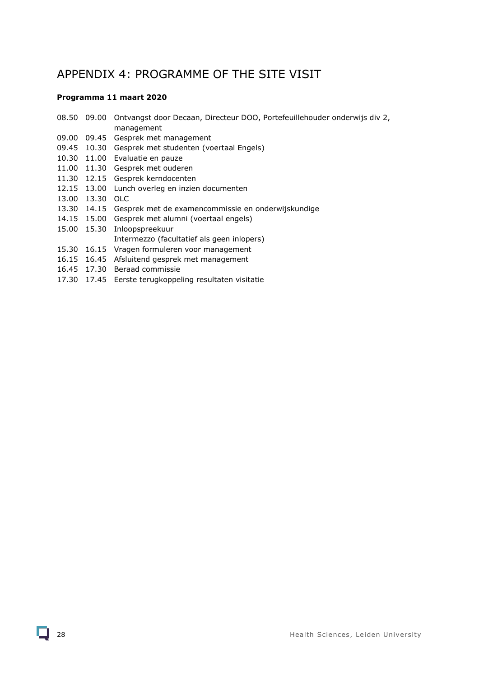# <span id="page-27-0"></span>APPENDIX 4: PROGRAMME OF THE SITE VISIT

# **Programma 11 maart 2020**

08.50 09.00 Ontvangst door Decaan, Directeur DOO, Portefeuillehouder onderwijs div 2, management 09.00 09.45 Gesprek met management 09.45 10.30 Gesprek met studenten (voertaal Engels) 10.30 11.00 Evaluatie en pauze 11.00 11.30 Gesprek met ouderen 11.30 12.15 Gesprek kerndocenten 12.15 13.00 Lunch overleg en inzien documenten 13.00 13.30 OLC 13.30 14.15 Gesprek met de examencommissie en onderwijskundige 14.15 15.00 Gesprek met alumni (voertaal engels) 15.00 15.30 Inloopspreekuur Intermezzo (facultatief als geen inlopers) 15.30 16.15 Vragen formuleren voor management 16.15 16.45 Afsluitend gesprek met management 16.45 17.30 Beraad commissie 17.30 17.45 Eerste terugkoppeling resultaten visitatie